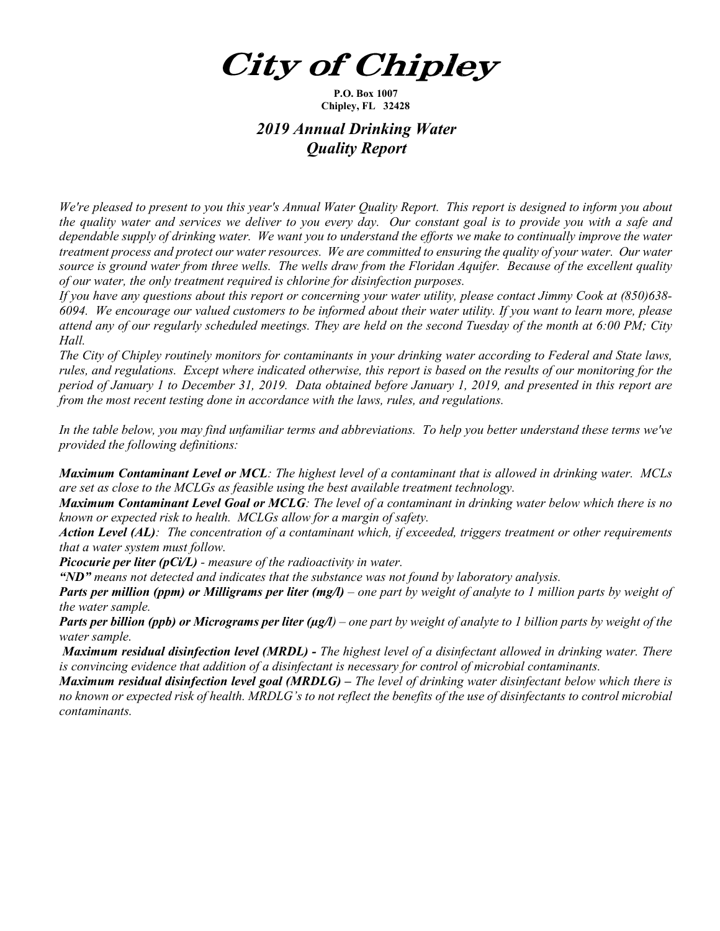*City of Chipley* 

**P.O. Box 1007 Chipley, FL 32428**

## *2019 Annual Drinking Water Quality Report*

*We're pleased to present to you this year's Annual Water Quality Report. This report is designed to inform you about the quality water and services we deliver to you every day. Our constant goal is to provide you with a safe and dependable supply of drinking water. We want you to understand the efforts we make to continually improve the water treatment process and protect our water resources. We are committed to ensuring the quality of your water. Our water source is ground water from three wells. The wells draw from the Floridan Aquifer. Because of the excellent quality of our water, the only treatment required is chlorine for disinfection purposes.*

*If you have any questions about this report or concerning your water utility, please contact Jimmy Cook at (850)638- 6094.**We encourage our valued customers to be informed about their water utility. If you want to learn more, please attend any of our regularly scheduled meetings. They are held on the second Tuesday of the month at 6:00 PM; City Hall.* 

*The City of Chipley routinely monitors for contaminants in your drinking water according to Federal and State laws, rules, and regulations. Except where indicated otherwise, this report is based on the results of our monitoring for the period of January 1 to December 31, 2019. Data obtained before January 1, 2019, and presented in this report are from the most recent testing done in accordance with the laws, rules, and regulations.* 

*In the table below, you may find unfamiliar terms and abbreviations. To help you better understand these terms we've provided the following definitions:* 

*Maximum Contaminant Level or MCL: The highest level of a contaminant that is allowed in drinking water. MCLs are set as close to the MCLGs as feasible using the best available treatment technology.* 

*Maximum Contaminant Level Goal or MCLG: The level of a contaminant in drinking water below which there is no known or expected risk to health. MCLGs allow for a margin of safety.* 

*Action Level (AL): The concentration of a contaminant which, if exceeded, triggers treatment or other requirements that a water system must follow.* 

*Picocurie per liter (pCi/L) - measure of the radioactivity in water.*

*"ND" means not detected and indicates that the substance was not found by laboratory analysis.*

*Parts per million (ppm) or Milligrams per liter (mg/l) – one part by weight of analyte to 1 million parts by weight of the water sample.*

*Parts per billion (ppb) or Micrograms per liter (µg/l) – one part by weight of analyte to 1 billion parts by weight of the water sample.*

*Maximum residual disinfection level (MRDL) - The highest level of a disinfectant allowed in drinking water. There is convincing evidence that addition of a disinfectant is necessary for control of microbial contaminants.* 

*Maximum residual disinfection level goal (MRDLG) – The level of drinking water disinfectant below which there is no known or expected risk of health. MRDLG's to not reflect the benefits of the use of disinfectants to control microbial contaminants.*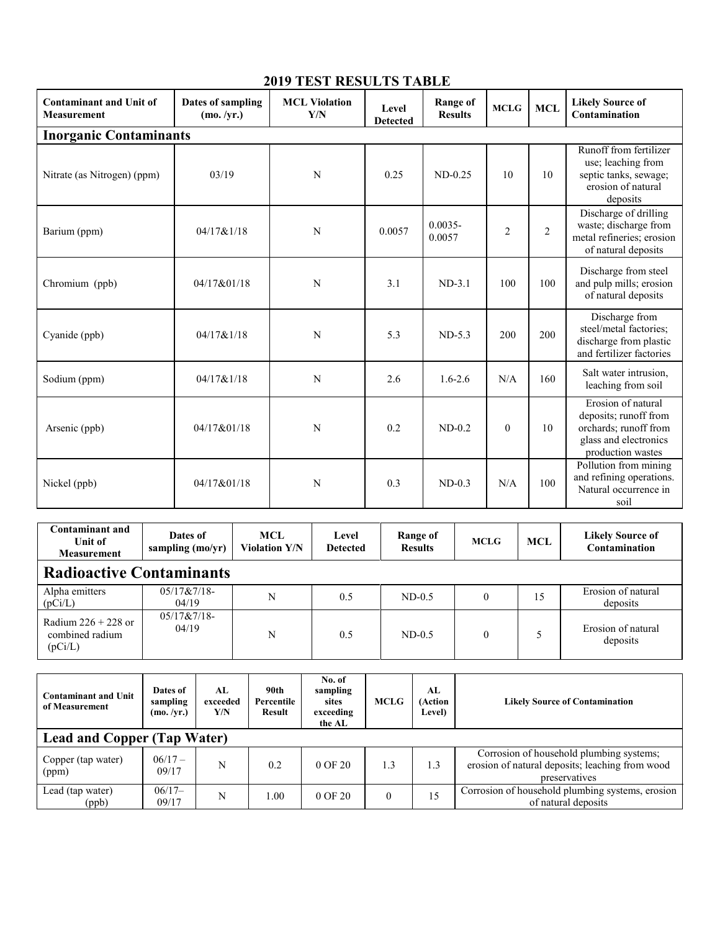| <b>Contaminant and Unit of</b><br><b>Measurement</b> | Dates of sampling<br>(mo. /yr.) | <b>MCL Violation</b><br>Y/N | Level<br><b>Detected</b> | <b>Range of</b><br><b>Results</b> | <b>MCLG</b>    | <b>MCL</b>     | <b>Likely Source of</b><br>Contamination                                                                           |  |  |  |
|------------------------------------------------------|---------------------------------|-----------------------------|--------------------------|-----------------------------------|----------------|----------------|--------------------------------------------------------------------------------------------------------------------|--|--|--|
| <b>Inorganic Contaminants</b>                        |                                 |                             |                          |                                   |                |                |                                                                                                                    |  |  |  |
| Nitrate (as Nitrogen) (ppm)                          | 03/19                           | N                           | 0.25                     | $ND-0.25$                         | 10             | 10             | Runoff from fertilizer<br>use; leaching from<br>septic tanks, sewage;<br>erosion of natural<br>deposits            |  |  |  |
| Barium (ppm)                                         | 04/17&1/18                      | N                           | 0.0057                   | $0.0035 -$<br>0.0057              | $\overline{2}$ | $\overline{2}$ | Discharge of drilling<br>waste; discharge from<br>metal refineries; erosion<br>of natural deposits                 |  |  |  |
| Chromium (ppb)                                       | 04/17&01/18                     | N                           | 3.1                      | $ND-3.1$                          | 100            | 100            | Discharge from steel<br>and pulp mills; erosion<br>of natural deposits                                             |  |  |  |
| Cyanide (ppb)                                        | 04/17&1/18                      | N                           | 5.3                      | $ND-5.3$                          | 200            | 200            | Discharge from<br>steel/metal factories;<br>discharge from plastic<br>and fertilizer factories                     |  |  |  |
| Sodium (ppm)                                         | 04/17&1/18                      | N                           | 2.6                      | $1.6 - 2.6$                       | N/A            | 160            | Salt water intrusion,<br>leaching from soil                                                                        |  |  |  |
| Arsenic (ppb)                                        | 04/17&01/18                     | N                           | 0.2                      | $ND-0.2$                          | $\mathbf{0}$   | 10             | Erosion of natural<br>deposits; runoff from<br>orchards; runoff from<br>glass and electronics<br>production wastes |  |  |  |
| Nickel (ppb)                                         | 04/17&01/18                     | N                           | 0.3                      | $ND-0.3$                          | N/A            | 100            | Pollution from mining<br>and refining operations.<br>Natural occurrence in<br>soil                                 |  |  |  |

## **2019 TEST RESULTS TABLE**

| <b>Contaminant and</b><br>Unit of<br><b>Measurement</b> | Dates of<br>sampling (mo/yr) | <b>MCL</b><br><b>Violation Y/N</b> | Level<br><b>Detected</b> | Range of<br><b>Results</b> | <b>MCLG</b> | MCL | <b>Likely Source of</b><br>Contamination |  |
|---------------------------------------------------------|------------------------------|------------------------------------|--------------------------|----------------------------|-------------|-----|------------------------------------------|--|
| <b>Radioactive Contaminants</b>                         |                              |                                    |                          |                            |             |     |                                          |  |
| Alpha emitters<br>(pCi/L)                               | $05/17&7/18-$<br>04/19       | N                                  | 0.5                      | $ND-0.5$                   |             | 15  | Erosion of natural<br>deposits           |  |
| Radium $226 + 228$ or<br>combined radium<br>(pCi/L)     | $05/17&7/18-$<br>04/19       | N                                  | 0.5                      | $ND-0.5$                   |             |     | Erosion of natural<br>deposits           |  |

| <b>Contaminant and Unit</b><br>of Measurement | Dates of<br>sampling<br>(mo. /yr.) | AL<br>exceeded<br>Y/N | 90th<br>Percentile<br>Result | No. of<br>sampling<br>sites<br>exceeding<br>the AL | <b>MCLG</b> | AL<br>(Action<br><b>Level</b> ) | <b>Likely Source of Contamination</b>                                                                        |  |  |
|-----------------------------------------------|------------------------------------|-----------------------|------------------------------|----------------------------------------------------|-------------|---------------------------------|--------------------------------------------------------------------------------------------------------------|--|--|
| <b>Lead and Copper (Tap Water)</b>            |                                    |                       |                              |                                                    |             |                                 |                                                                                                              |  |  |
| Copper (tap water)<br>(ppm)                   | $06/17 -$<br>09/17                 | N                     | 0.2                          | $0$ OF $20$                                        | 1.3         | 1.3                             | Corrosion of household plumbing systems;<br>erosion of natural deposits; leaching from wood<br>preservatives |  |  |
| Lead (tap water)<br>(ppb)                     | $06/17-$<br>09/17                  | N                     | 1.00                         | $0$ OF $20$                                        | $\theta$    | 15                              | Corrosion of household plumbing systems, erosion<br>of natural deposits                                      |  |  |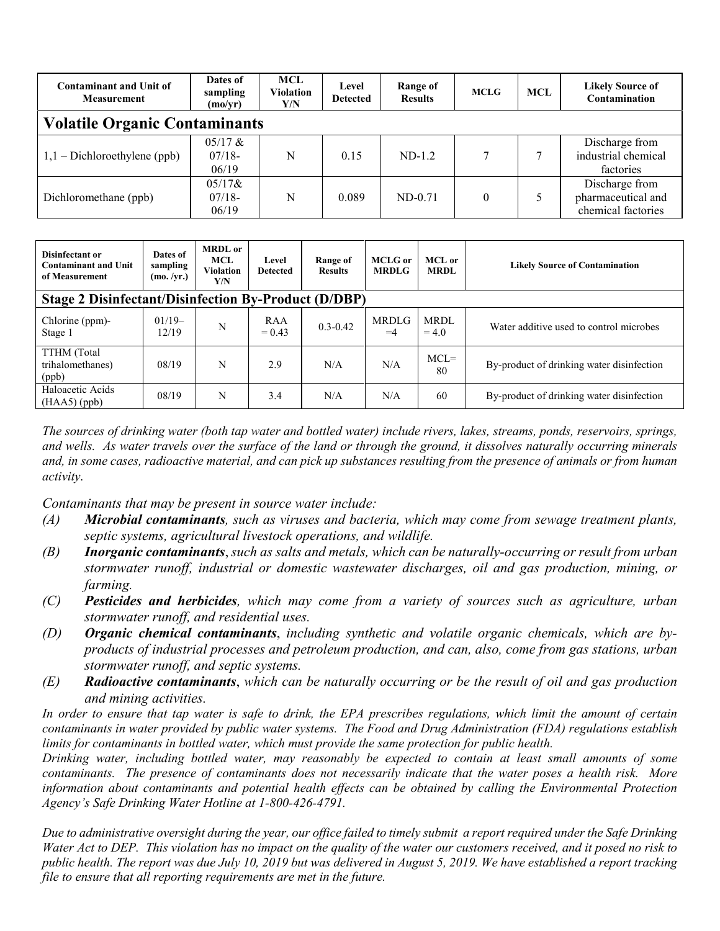| <b>Contaminant and Unit of</b><br><b>Measurement</b> | Dates of<br>sampling<br>(mo/yr) | <b>MCL</b><br><b>Violation</b><br>Y/N | Level<br><b>Detected</b> | Range of<br><b>Results</b> | <b>MCLG</b> | <b>MCL</b> | <b>Likely Source of</b><br>Contamination                   |  |  |
|------------------------------------------------------|---------------------------------|---------------------------------------|--------------------------|----------------------------|-------------|------------|------------------------------------------------------------|--|--|
| <b>Volatile Organic Contaminants</b>                 |                                 |                                       |                          |                            |             |            |                                                            |  |  |
| $1,1$ – Dichloroethylene (ppb)                       | $05/17$ &<br>$07/18-$<br>06/19  | N                                     | 0.15                     | $ND-1.2$                   |             |            | Discharge from<br>industrial chemical<br>factories         |  |  |
| Dichloromethane (ppb)                                | $05/17$ &<br>$07/18-$<br>06/19  | N                                     | 0.089                    | $ND-0.71$                  |             |            | Discharge from<br>pharmaceutical and<br>chemical factories |  |  |

| Disinfectant or<br><b>Contaminant and Unit</b><br>of Measurement | Dates of<br>sampling<br>(mo. /yr.) | <b>MRDL</b> or<br><b>MCL</b><br><b>Violation</b><br>Y/N | Level<br><b>Detected</b> | Range of<br><b>Results</b> | <b>MCLG</b> or<br><b>MRDLG</b> | MCL or<br><b>MRDL</b>  | <b>Likely Source of Contamination</b>     |  |  |
|------------------------------------------------------------------|------------------------------------|---------------------------------------------------------|--------------------------|----------------------------|--------------------------------|------------------------|-------------------------------------------|--|--|
| <b>Stage 2 Disinfectant/Disinfection By-Product (D/DBP)</b>      |                                    |                                                         |                          |                            |                                |                        |                                           |  |  |
| Chlorine (ppm)-<br>Stage 1                                       | $01/19-$<br>12/19                  | N                                                       | RAA<br>$= 0.43$          | $0.3 - 0.42$               | <b>MRDLG</b><br>$=4$           | <b>MRDL</b><br>$= 4.0$ | Water additive used to control microbes   |  |  |
| TTHM (Total<br>trihalomethanes)<br>(ppb)                         | 08/19                              | N                                                       | 2.9                      | N/A                        | N/A                            | $MCL =$<br>80          | By-product of drinking water disinfection |  |  |
| Haloacetic Acids<br>$(HAA5)$ (ppb)                               | 08/19                              | N                                                       | 3.4                      | N/A                        | N/A                            | 60                     | By-product of drinking water disinfection |  |  |

*The sources of drinking water (both tap water and bottled water) include rivers, lakes, streams, ponds, reservoirs, springs, and wells. As water travels over the surface of the land or through the ground, it dissolves naturally occurring minerals and, in some cases, radioactive material, and can pick up substances resulting from the presence of animals or from human activity.*

*Contaminants that may be present in source water include:*

- *(A) Microbial contaminants, such as viruses and bacteria, which may come from sewage treatment plants, septic systems, agricultural livestock operations, and wildlife.*
- *(B) Inorganic contaminants*, *such as salts and metals, which can be naturally-occurring or result from urban stormwater runoff, industrial or domestic wastewater discharges, oil and gas production, mining, or farming.*
- *(C) Pesticides and herbicides, which may come from a variety of sources such as agriculture, urban stormwater runoff, and residential uses.*
- *(D) Organic chemical contaminants*, *including synthetic and volatile organic chemicals, which are byproducts of industrial processes and petroleum production, and can, also, come from gas stations, urban stormwater runoff, and septic systems.*
- *(E) Radioactive contaminants*, *which can be naturally occurring or be the result of oil and gas production and mining activities.*

*In order to ensure that tap water is safe to drink, the EPA prescribes regulations, which limit the amount of certain contaminants in water provided by public water systems. The Food and Drug Administration (FDA) regulations establish limits for contaminants in bottled water, which must provide the same protection for public health.*

*Drinking water, including bottled water, may reasonably be expected to contain at least small amounts of some contaminants. The presence of contaminants does not necessarily indicate that the water poses a health risk. More information about contaminants and potential health effects can be obtained by calling the Environmental Protection Agency's Safe Drinking Water Hotline at 1-800-426-4791.*

*Due to administrative oversight during the year, our office failed to timely submit a report required under the Safe Drinking Water Act to DEP. This violation has no impact on the quality of the water our customers received, and it posed no risk to public health. The report was due July 10, 2019 but was delivered in August 5, 2019. We have established a report tracking file to ensure that all reporting requirements are met in the future.*